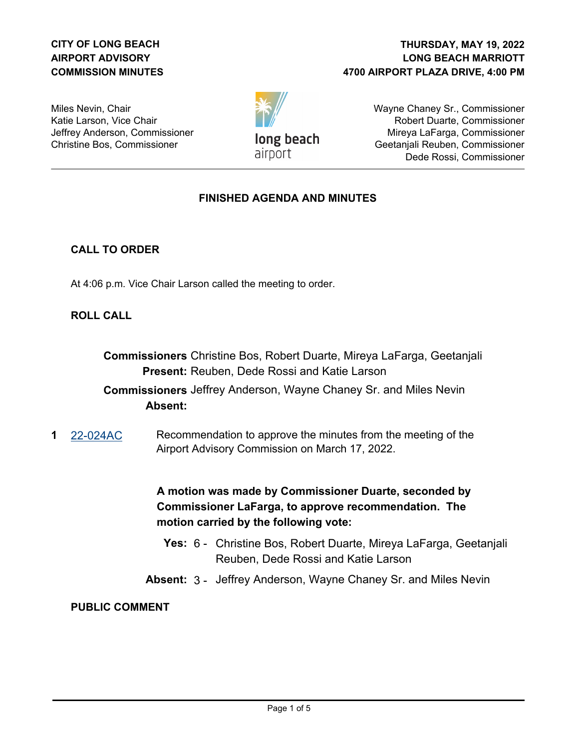## **CITY OF LONG BEACH AIRPORT ADVISORY COMMISSION MINUTES**

## **LONG BEACH MARRIOTT 4700 AIRPORT PLAZA DRIVE, 4:00 PM THURSDAY, MAY 19, 2022**

Miles Nevin, Chair Katie Larson, Vice Chair Jeffrey Anderson, Commissioner Christine Bos, Commissioner

long beach airport

Wayne Chaney Sr., Commissioner Robert Duarte, Commissioner Mireya LaFarga, Commissioner Geetanjali Reuben, Commissioner Dede Rossi, Commissioner

## **FINISHED AGENDA AND MINUTES**

## **CALL TO ORDER**

At 4:06 p.m. Vice Chair Larson called the meeting to order.

### **ROLL CALL**

**Commissioners** Christine Bos, Robert Duarte, Mireya LaFarga, Geetanjali Present: Reuben, Dede Rossi and Katie Larson

# **Commissioners** Jeffrey Anderson, Wayne Chaney Sr. and Miles Nevin **Absent:**

**1** [22-024AC](http://longbeach.legistar.com/gateway.aspx?M=L&ID=239592) Recommendation to approve the minutes from the meeting of the Airport Advisory Commission on March 17, 2022.

> **A motion was made by Commissioner Duarte, seconded by Commissioner LaFarga, to approve recommendation. The motion carried by the following vote:**

- **Yes:** 6 Christine Bos, Robert Duarte, Mireya LaFarga, Geetanjali Reuben, Dede Rossi and Katie Larson
- **Absent:** 3 Jeffrey Anderson, Wayne Chaney Sr. and Miles Nevin

### **PUBLIC COMMENT**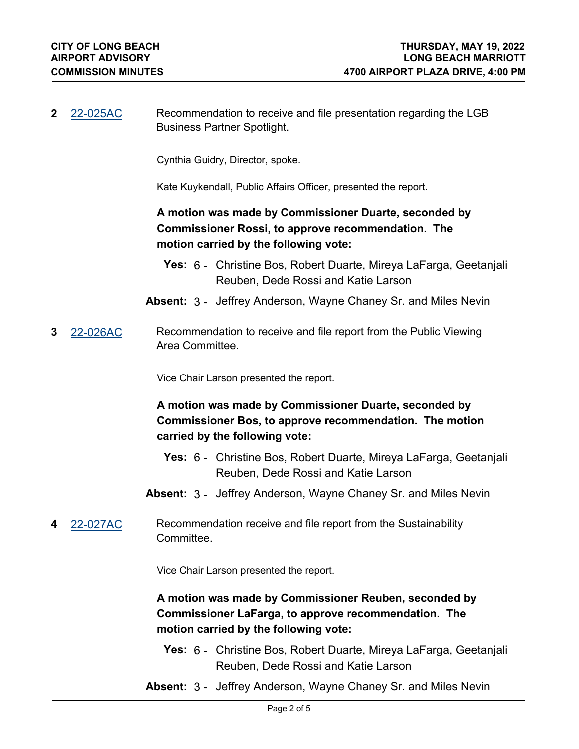**2** [22-025AC](http://longbeach.legistar.com/gateway.aspx?M=L&ID=239593) Recommendation to receive and file presentation regarding the LGB Business Partner Spotlight.

Cynthia Guidry, Director, spoke.

Kate Kuykendall, Public Affairs Officer, presented the report.

# **A motion was made by Commissioner Duarte, seconded by Commissioner Rossi, to approve recommendation. The motion carried by the following vote:**

- **Yes:** 6 Christine Bos, Robert Duarte, Mireya LaFarga, Geetanjali Reuben, Dede Rossi and Katie Larson
- **Absent:** 3 Jeffrey Anderson, Wayne Chaney Sr. and Miles Nevin
- **3** [22-026AC](http://longbeach.legistar.com/gateway.aspx?M=L&ID=239594) Recommendation to receive and file report from the Public Viewing Area Committee.

Vice Chair Larson presented the report.

# **A motion was made by Commissioner Duarte, seconded by Commissioner Bos, to approve recommendation. The motion carried by the following vote:**

- **Yes:** 6 Christine Bos, Robert Duarte, Mireya LaFarga, Geetanjali Reuben, Dede Rossi and Katie Larson
- **Absent:** 3 Jeffrey Anderson, Wayne Chaney Sr. and Miles Nevin
- **4** [22-027AC](http://longbeach.legistar.com/gateway.aspx?M=L&ID=239595) Recommendation receive and file report from the Sustainability **Committee.**

Vice Chair Larson presented the report.

**A motion was made by Commissioner Reuben, seconded by Commissioner LaFarga, to approve recommendation. The motion carried by the following vote:**

- **Yes:** 6 Christine Bos, Robert Duarte, Mireya LaFarga, Geetanjali Reuben, Dede Rossi and Katie Larson
- **Absent:** 3 Jeffrey Anderson, Wayne Chaney Sr. and Miles Nevin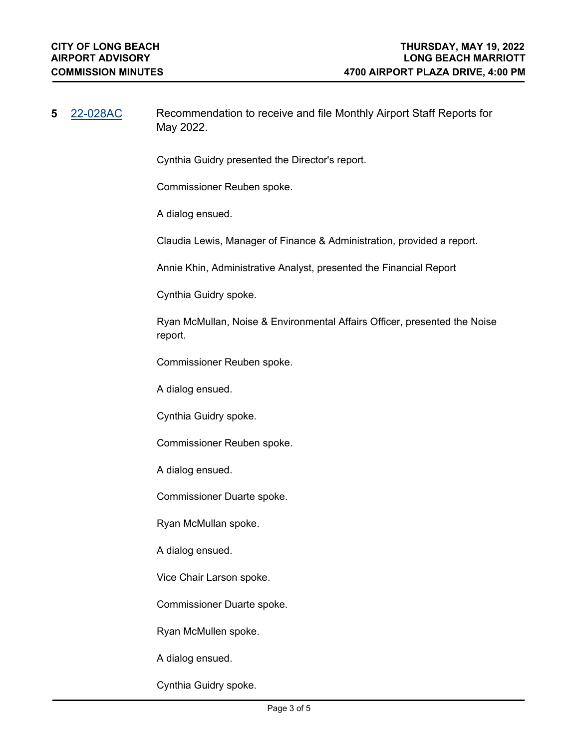| 5 | <u>22-028AC</u> | Recommendation to receive and file Monthly Airport Staff Reports for<br>May 2022.    |
|---|-----------------|--------------------------------------------------------------------------------------|
|   |                 | Cynthia Guidry presented the Director's report.                                      |
|   |                 | Commissioner Reuben spoke.                                                           |
|   |                 | A dialog ensued.                                                                     |
|   |                 | Claudia Lewis, Manager of Finance & Administration, provided a report.               |
|   |                 | Annie Khin, Administrative Analyst, presented the Financial Report                   |
|   |                 | Cynthia Guidry spoke.                                                                |
|   |                 | Ryan McMullan, Noise & Environmental Affairs Officer, presented the Noise<br>report. |
|   |                 | Commissioner Reuben spoke.                                                           |
|   |                 | A dialog ensued.                                                                     |
|   |                 | Cynthia Guidry spoke.                                                                |
|   |                 | Commissioner Reuben spoke.                                                           |
|   |                 | A dialog ensued.                                                                     |
|   |                 | Commissioner Duarte spoke.                                                           |
|   |                 | Ryan McMullan spoke.                                                                 |
|   |                 | A dialog ensued.                                                                     |
|   |                 | Vice Chair Larson spoke.                                                             |
|   |                 | Commissioner Duarte spoke.                                                           |
|   |                 | Ryan McMullen spoke.                                                                 |
|   |                 | A dialog ensued.                                                                     |

Cynthia Guidry spoke.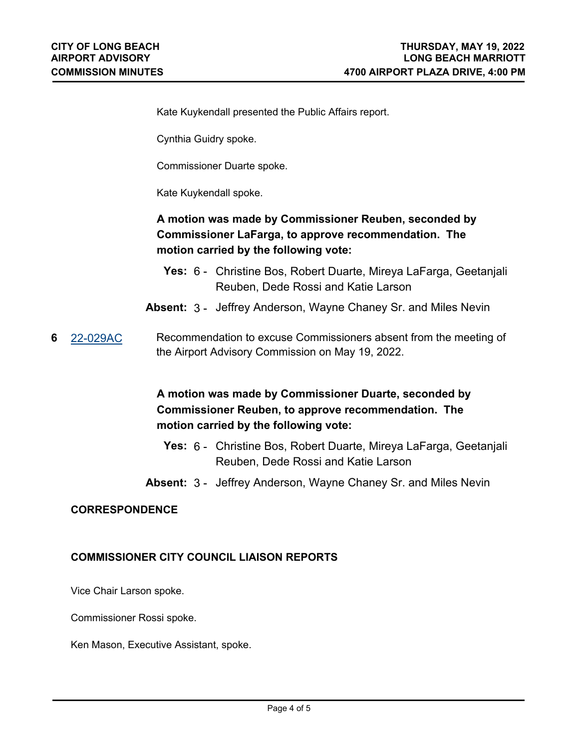Kate Kuykendall presented the Public Affairs report.

Cynthia Guidry spoke.

Commissioner Duarte spoke.

Kate Kuykendall spoke.

# **A motion was made by Commissioner Reuben, seconded by Commissioner LaFarga, to approve recommendation. The motion carried by the following vote:**

- **Yes:** 6 Christine Bos, Robert Duarte, Mireya LaFarga, Geetanjali Reuben, Dede Rossi and Katie Larson
- **Absent:** 3 Jeffrey Anderson, Wayne Chaney Sr. and Miles Nevin
- **6** [22-029AC](http://longbeach.legistar.com/gateway.aspx?M=L&ID=239597) Recommendation to excuse Commissioners absent from the meeting of the Airport Advisory Commission on May 19, 2022.

# **A motion was made by Commissioner Duarte, seconded by Commissioner Reuben, to approve recommendation. The motion carried by the following vote:**

- **Yes:** 6 Christine Bos, Robert Duarte, Mireya LaFarga, Geetanjali Reuben, Dede Rossi and Katie Larson
- **Absent:** 3 Jeffrey Anderson, Wayne Chaney Sr. and Miles Nevin

#### **CORRESPONDENCE**

#### **COMMISSIONER CITY COUNCIL LIAISON REPORTS**

Vice Chair Larson spoke.

Commissioner Rossi spoke.

Ken Mason, Executive Assistant, spoke.